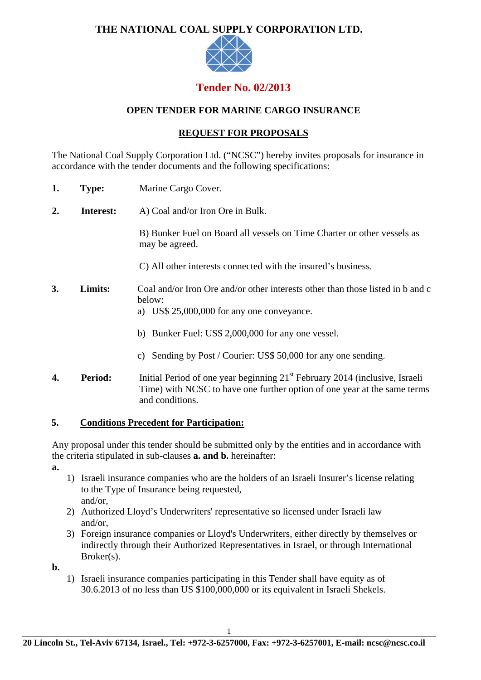## **THE NATIONAL COAL SUPPLY CORPORATION LTD.**



# **Tender No. 02/2013**

## **OPEN TENDER FOR MARINE CARGO INSURANCE**

## **REQUEST FOR PROPOSALS**

The National Coal Supply Corporation Ltd. ("NCSC") hereby invites proposals for insurance in accordance with the tender documents and the following specifications:

- **1. Type:** Marine Cargo Cover.
- **2. Interest:** A) Coal and/or Iron Ore in Bulk.

B) Bunker Fuel on Board all vessels on Time Charter or other vessels as may be agreed.

- C) All other interests connected with the insured's business.
- **3. Limits:** Coal and/or Iron Ore and/or other interests other than those listed in b and c below:
	- a) US\$ 25,000,000 for any one conveyance.
	- b) Bunker Fuel: US\$ 2,000,000 for any one vessel.
	- c) Sending by Post / Courier: US\$ 50,000 for any one sending.
- **4. Period:** Initial Period of one year beginning 21st February 2014 (inclusive, Israeli Time) with NCSC to have one further option of one year at the same terms and conditions.

### **5. Conditions Precedent for Participation:**

Any proposal under this tender should be submitted only by the entities and in accordance with the criteria stipulated in sub-clauses **a. and b.** hereinafter:

**a.**

- 1) Israeli insurance companies who are the holders of an Israeli Insurer's license relating to the Type of Insurance being requested, and/or,
- 2) Authorized Lloyd's Underwriters' representative so licensed under Israeli law and/or,
- 3) Foreign insurance companies or Lloyd's Underwriters, either directly by themselves or indirectly through their Authorized Representatives in Israel, or through International Broker(s).

**b.** 

1) Israeli insurance companies participating in this Tender shall have equity as of 30.6.2013 of no less than US \$100,000,000 or its equivalent in Israeli Shekels.